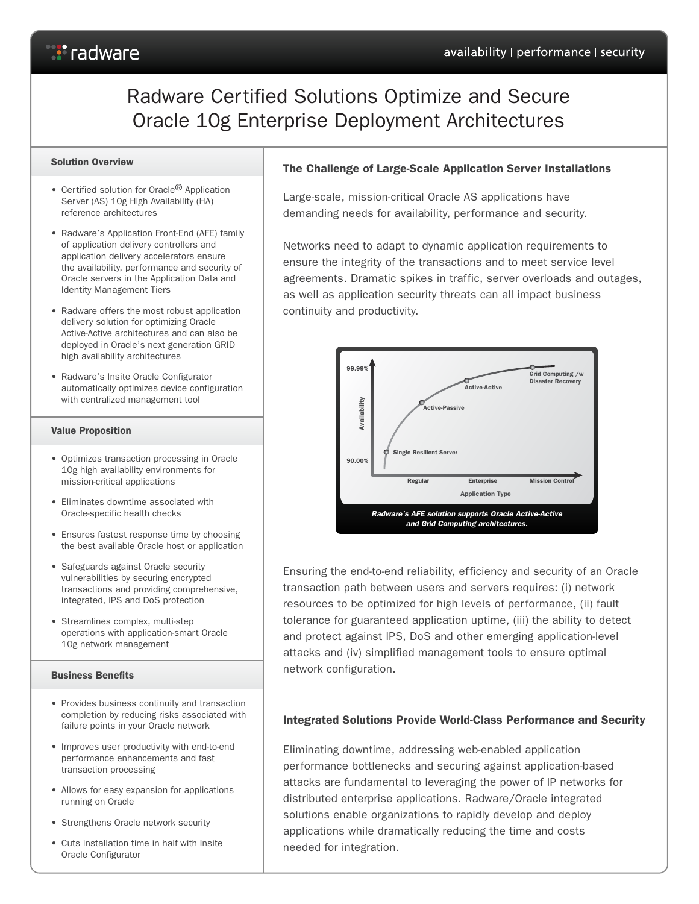# *S* radware

# Radware Certified Solutions Optimize and Secure Oracle 10g Enterprise Deployment Architectures

#### Solution Overview

- Certified solution for Oracle<sup>®</sup> Application Server (AS) 10g High Availability (HA) reference architectures
- Radware's Application Front-End (AFE) family of application delivery controllers and application delivery accelerators ensure the availability, performance and security of Oracle servers in the Application Data and Identity Management Tiers
- Radware offers the most robust application delivery solution for optimizing Oracle Active-Active architectures and can also be deployed in Oracle's next generation GRID high availability architectures
- Radware's Insite Oracle Configurator automatically optimizes device configuration with centralized management tool

#### Value Proposition

- Optimizes transaction processing in Oracle 10g high availability environments for mission-critical applications
- Eliminates downtime associated with Oracle-specific health checks
- Ensures fastest response time by choosing the best available Oracle host or application
- Safeguards against Oracle security vulnerabilities by securing encrypted transactions and providing comprehensive, integrated, IPS and DoS protection
- Streamlines complex, multi-step operations with application-smart Oracle 10g network management

#### Business Benefits

- Provides business continuity and transaction completion by reducing risks associated with failure points in your Oracle network
- Improves user productivity with end-to-end performance enhancements and fast transaction processing
- Allows for easy expansion for applications running on Oracle
- Strengthens Oracle network security
- Cuts installation time in half with Insite Oracle Configurator

# The Challenge of Large-Scale Application Server Installations

Large-scale, mission-critical Oracle AS applications have demanding needs for availability, performance and security.

Networks need to adapt to dynamic application requirements to ensure the integrity of the transactions and to meet service level agreements. Dramatic spikes in traffic, server overloads and outages, as well as application security threats can all impact business continuity and productivity.



Ensuring the end-to-end reliability, efficiency and security of an Oracle transaction path between users and servers requires: (i) network resources to be optimized for high levels of performance, (ii) fault tolerance for guaranteed application uptime, (iii) the ability to detect and protect against IPS, DoS and other emerging application-level attacks and (iv) simplified management tools to ensure optimal network configuration.

# Integrated Solutions Provide World-Class Performance and Security

Eliminating downtime, addressing web-enabled application performance bottlenecks and securing against application-based attacks are fundamental to leveraging the power of IP networks for distributed enterprise applications. Radware/Oracle integrated solutions enable organizations to rapidly develop and deploy applications while dramatically reducing the time and costs needed for integration.